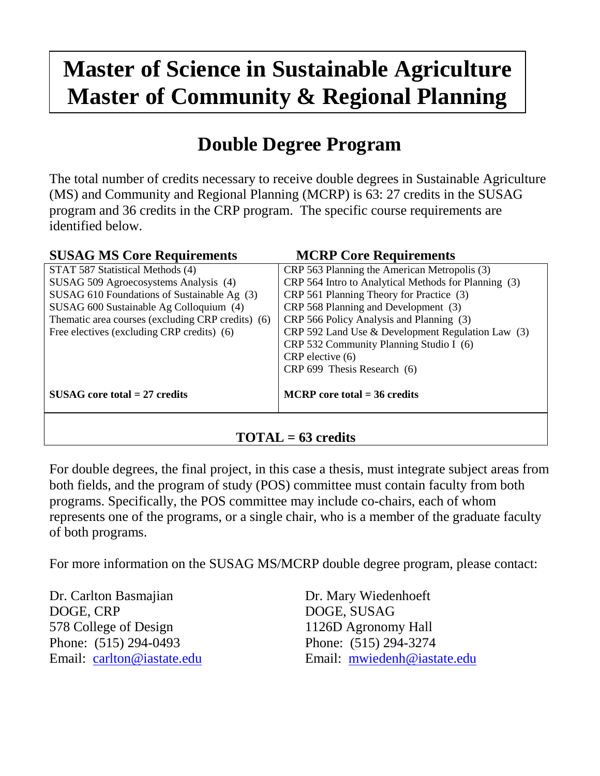## **Master of Science in Sustainable Agriculture Master of Community & Regional Planning**

## **Double Degree Program**

The total number of credits necessary to receive double degrees in Sustainable Agriculture (MS) and Community and Regional Planning (MCRP) is 63: 27 credits in the SUSAG program and 36 credits in the CRP program. The specific course requirements are identified below.

| <b>SUSAG MS Core Requirements</b>                                                             | <b>MCRP Core Requirements</b>                                                                        |  |
|-----------------------------------------------------------------------------------------------|------------------------------------------------------------------------------------------------------|--|
| STAT 587 Statistical Methods (4)                                                              | CRP 563 Planning the American Metropolis (3)<br>CRP 564 Intro to Analytical Methods for Planning (3) |  |
| SUSAG 509 Agroecosystems Analysis (4)                                                         |                                                                                                      |  |
| SUSAG 610 Foundations of Sustainable Ag (3)                                                   | CRP 561 Planning Theory for Practice (3)                                                             |  |
| CRP 568 Planning and Development (3)<br>SUSAG 600 Sustainable Ag Colloquium (4)               |                                                                                                      |  |
| Thematic area courses (excluding CRP credits) (6)<br>CRP 566 Policy Analysis and Planning (3) |                                                                                                      |  |
| Free electives (excluding CRP credits) (6)                                                    | CRP 592 Land Use & Development Regulation Law (3)                                                    |  |
|                                                                                               | CRP 532 Community Planning Studio I (6)                                                              |  |
|                                                                                               | CRP elective (6)                                                                                     |  |
|                                                                                               | CRP 699 Thesis Research (6)                                                                          |  |
| $SUSAG$ core total = 27 credits                                                               | $MCRP$ core total = 36 credits                                                                       |  |
|                                                                                               |                                                                                                      |  |

## **TOTAL = 63 credits**

For double degrees, the final project, in this case a thesis, must integrate subject areas from both fields, and the program of study (POS) committee must contain faculty from both programs. Specifically, the POS committee may include co-chairs, each of whom represents one of the programs, or a single chair, who is a member of the graduate faculty of both programs.

For more information on the SUSAG MS/MCRP double degree program, please contact:

Dr. Carlton Basmajian Dr. Mary Wiedenhoeft DOGE, CRP DOGE, SUSAG 578 College of Design 1126D Agronomy Hall Phone: (515) 294-0493 Phone: (515) 294-3274

Email: [carlton@iastate.edu](mailto:carlton@iastate.edu) Email: [mwiedenh@iastate.edu](mailto:mwiedenh@iastate.edu)